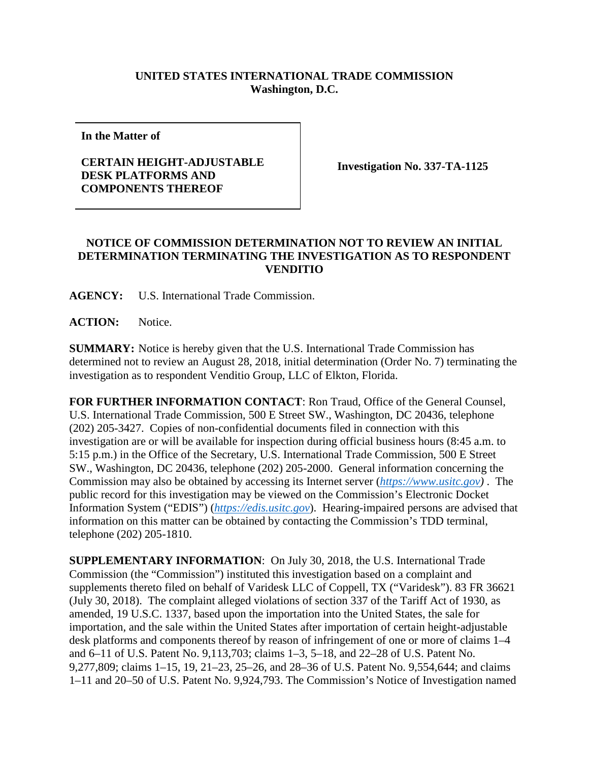## **UNITED STATES INTERNATIONAL TRADE COMMISSION Washington, D.C.**

**In the Matter of**

## **CERTAIN HEIGHT-ADJUSTABLE DESK PLATFORMS AND COMPONENTS THEREOF**

**Investigation No. 337-TA-1125**

## **NOTICE OF COMMISSION DETERMINATION NOT TO REVIEW AN INITIAL DETERMINATION TERMINATING THE INVESTIGATION AS TO RESPONDENT VENDITIO**

**AGENCY:** U.S. International Trade Commission.

**ACTION:** Notice.

**SUMMARY:** Notice is hereby given that the U.S. International Trade Commission has determined not to review an August 28, 2018, initial determination (Order No. 7) terminating the investigation as to respondent Venditio Group, LLC of Elkton, Florida.

**FOR FURTHER INFORMATION CONTACT**: Ron Traud, Office of the General Counsel, U.S. International Trade Commission, 500 E Street SW., Washington, DC 20436, telephone (202) 205-3427. Copies of non-confidential documents filed in connection with this investigation are or will be available for inspection during official business hours (8:45 a.m. to 5:15 p.m.) in the Office of the Secretary, U.S. International Trade Commission, 500 E Street SW., Washington, DC 20436, telephone (202) 205-2000. General information concerning the Commission may also be obtained by accessing its Internet server (*[https://www.usitc.gov\)](https://www.usitc.gov/)* . The public record for this investigation may be viewed on the Commission's Electronic Docket Information System ("EDIS") (*[https://edis.usitc.gov](https://edis.usitc.gov/)*). Hearing-impaired persons are advised that information on this matter can be obtained by contacting the Commission's TDD terminal, telephone (202) 205-1810.

**SUPPLEMENTARY INFORMATION**: On July 30, 2018, the U.S. International Trade Commission (the "Commission") instituted this investigation based on a complaint and supplements thereto filed on behalf of Varidesk LLC of Coppell, TX ("Varidesk"). 83 FR 36621 (July 30, 2018). The complaint alleged violations of section 337 of the Tariff Act of 1930, as amended, 19 U.S.C. 1337, based upon the importation into the United States, the sale for importation, and the sale within the United States after importation of certain height-adjustable desk platforms and components thereof by reason of infringement of one or more of claims 1–4 and 6–11 of U.S. Patent No. 9,113,703; claims 1–3, 5–18, and 22–28 of U.S. Patent No. 9,277,809; claims 1–15, 19, 21–23, 25–26, and 28–36 of U.S. Patent No. 9,554,644; and claims 1–11 and 20–50 of U.S. Patent No. 9,924,793. The Commission's Notice of Investigation named